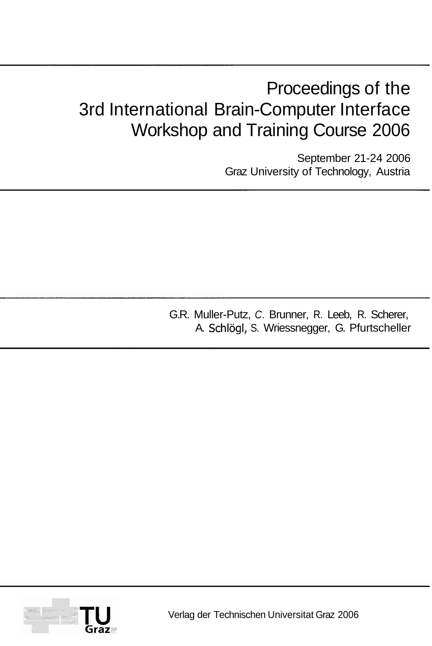# Proceedings of the 3rd International Brain-Computer Interface Workshop and Training Course 2006

September 21-24 2006 Graz University of Technology, Austria

G.R. Muller-Putz, C. Brunner, R. Leeb, R. Scherer, A. Schlögl, S. Wriessnegger, G. Pfurtscheller



Verlag der Technischen Universitat Graz 2006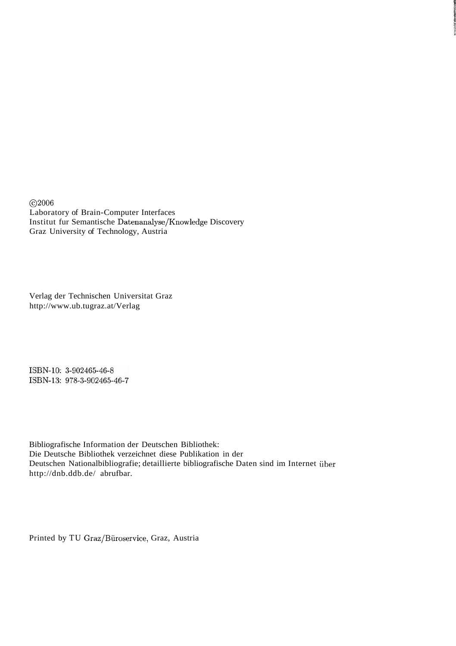@2006 Laboratory of Brain-Computer Interfaces Institut fur Semantische Datenanalyse/Knowledge Discovery Graz University of Technology, Austria

Verlag der Technischen Universitat Graz http://www.ub.tugraz.at/Verlag

ISBN-10: 3-902465-46-8 ISBN-13: 978-3-902465-46-7

Bibliografische Information der Deutschen Bibliothek: Die Deutsche Bibliothek verzeichnet diese Publikation in der Deutschen Nationalbibliografie; detaillierte bibliografische Daten sind im Internet über http://dnb.ddb.de/ abrufbar.

Printed by TU Graz/Biiroservice, Graz, Austria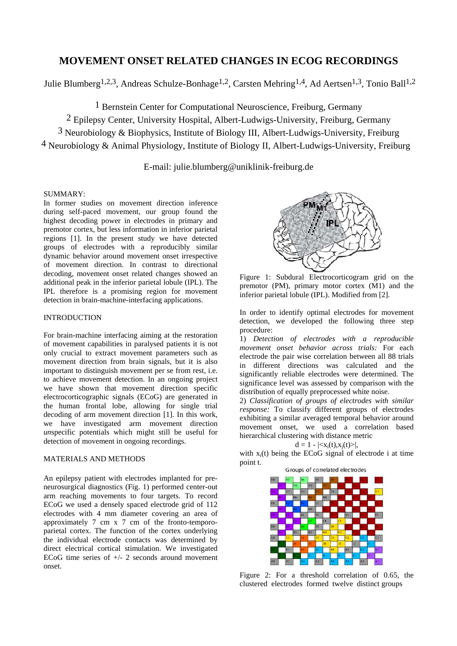# **MOVEMENT ONSET RELATED CHANGES IN ECOG RECORDINGS**

Julie Blumberg<sup>1,2,3</sup>, Andreas Schulze-Bonhage<sup>1,2</sup>, Carsten Mehring<sup>1,4</sup>, Ad Aertsen<sup>1,3</sup>, Tonio Ball<sup>1,2</sup>

1 Bernstein Center for Computational Neuroscience, Freiburg, Germany

2 Epilepsy Center, University Hospital, Albert-Ludwigs-University, Freiburg, Germany

3 Neurobiology & Biophysics, Institute of Biology III, Albert-Ludwigs-University, Freiburg

4 Neurobiology & Animal Physiology, Institute of Biology II, Albert-Ludwigs-University, Freiburg

E-mail: julie.blumberg@uniklinik-freiburg.de

#### SUMMARY:

In former studies on movement direction inference during self-paced movement, our group found the highest decoding power in electrodes in primary and premotor cortex, but less information in inferior parietal regions [1]. In the present study we have detected groups of electrodes with a reproducibly similar dynamic behavior around movement onset irrespective of movement direction. In contrast to directional decoding, movement onset related changes showed an additional peak in the inferior parietal lobule (IPL). The IPL therefore is a promising region for movement detection in brain-machine-interfacing applications.

# INTRODUCTION

For brain-machine interfacing aiming at the restoration of movement capabilities in paralysed patients it is not only crucial to extract movement parameters such as movement direction from brain signals, but it is also important to distinguish movement per se from rest, i.e. to achieve movement detection. In an ongoing project we have shown that movement direction specific electrocorticographic signals (ECoG) are generated in the human frontal lobe, allowing for single trial decoding of arm movement direction [1]. In this work, we have investigated arm movement direction *un*specific potentials which might still be useful for detection of movement in ongoing recordings.

### MATERIALS AND METHODS

An epilepsy patient with electrodes implanted for preneurosurgical diagnostics (Fig. 1) performed center-out arm reaching movements to four targets. To record ECoG we used a densely spaced electrode grid of 112 electrodes with 4 mm diameter covering an area of approximately 7 cm x 7 cm of the fronto-temporoparietal cortex. The function of the cortex underlying the individual electrode contacts was determined by direct electrical cortical stimulation. We investigated ECoG time series of +/- 2 seconds around movement onset.



Figure 1: Subdural Electrocorticogram grid on the premotor (PM), primary motor cortex (M1) and the inferior parietal lobule (IPL). Modified from [2].

In order to identify optimal electrodes for movement detection, we developed the following three step procedure:

1) *Detection of electrodes with a reproducible movement onset behavior across trials:* For each electrode the pair wise correlation between all 88 trials in different directions was calculated and the significantly reliable electrodes were determined. The significance level was assessed by comparison with the distribution of equally preprocessed white noise.

2) *Classification of groups of electrodes with similar response:* To classify different groups of electrodes exhibiting a similar averaged temporal behavior around movement onset, we used a correlation based hierarchical clustering with distance metric

$$
d = 1 - |< x_i(t), x_j(t) > |,
$$

with  $x_i(t)$  being the ECoG signal of electrode i at time point t.



Figure 2: For a threshold correlation of 0.65, the clustered electrodes formed twelve distinct groups